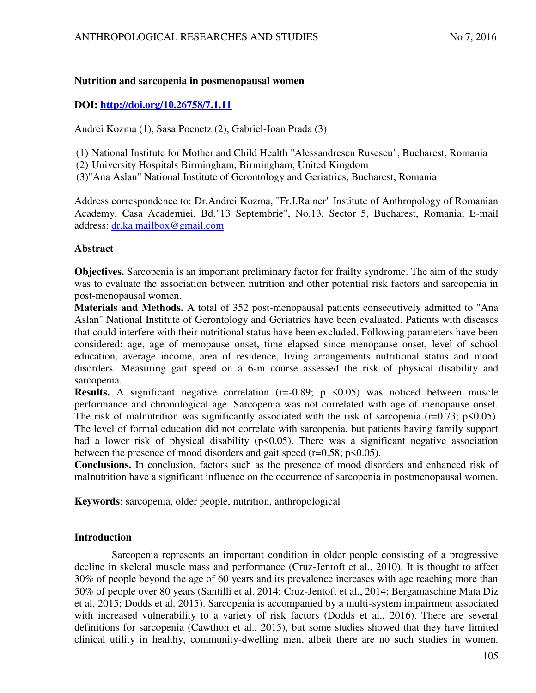# **Nutrition and sarcopenia in posmenopausal women**

# **DOI:<http://doi.org/10.26758/7.1.11>**

Andrei Kozma (1), Sasa Pocnetz (2), Gabriel-Ioan Prada (3)

(1) National Institute for Mother and Child Health "Alessandrescu Rusescu", Bucharest, Romania

(2) University Hospitals Birmingham, Birmingham, United Kingdom

(3)"Ana Aslan" National Institute of Gerontology and Geriatrics, Bucharest, Romania

Address correspondence to: Dr.Andrei Kozma, "Fr.I.Rainer" Institute of Anthropology of Romanian Academy, Casa Academiei, Bd."13 Septembrie", No.13, Sector 5, Bucharest, Romania; E-mail address: dr.ka.mailbox@gmail.com

# **Abstract**

**Objectives.** Sarcopenia is an important preliminary factor for frailty syndrome. The aim of the study was to evaluate the association between nutrition and other potential risk factors and sarcopenia in post-menopausal women.

**Materials and Methods.** A total of 352 post-menopausal patients consecutively admitted to "Ana Aslan" National Institute of Gerontology and Geriatrics have been evaluated. Patients with diseases that could interfere with their nutritional status have been excluded. Following parameters have been considered: age, age of menopause onset, time elapsed since menopause onset, level of school education, average income, area of residence, living arrangements nutritional status and mood disorders. Measuring gait speed on a 6-m course assessed the risk of physical disability and sarcopenia.

**Results.** A significant negative correlation  $(r=0.89; p \le 0.05)$  was noticed between muscle performance and chronological age. Sarcopenia was not correlated with age of menopause onset. The risk of malnutrition was significantly associated with the risk of sarcopenia ( $r=0.73$ ;  $p<0.05$ ). The level of formal education did not correlate with sarcopenia, but patients having family support had a lower risk of physical disability  $(p<0.05)$ . There was a significant negative association between the presence of mood disorders and gait speed ( $r=0.58$ ;  $p<0.05$ ).

**Conclusions.** In conclusion, factors such as the presence of mood disorders and enhanced risk of malnutrition have a significant influence on the occurrence of sarcopenia in postmenopausal women.

**Keywords**: sarcopenia, older people, nutrition, anthropological

# **Introduction**

Sarcopenia represents an important condition in older people consisting of a progressive decline in skeletal muscle mass and performance (Cruz-Jentoft et al., 2010). It is thought to affect 30% of people beyond the age of 60 years and its prevalence increases with age reaching more than 50% of people over 80 years (Santilli et al. 2014; Cruz-Jentoft et al., 2014; Bergamaschine Mata Diz et al, 2015; Dodds et al. 2015). Sarcopenia is accompanied by a multi-system impairment associated with increased vulnerability to a variety of risk factors (Dodds et al., 2016). There are several definitions for sarcopenia (Cawthon et al., 2015), but some studies showed that they have limited clinical utility in healthy, community-dwelling men, albeit there are no such studies in women.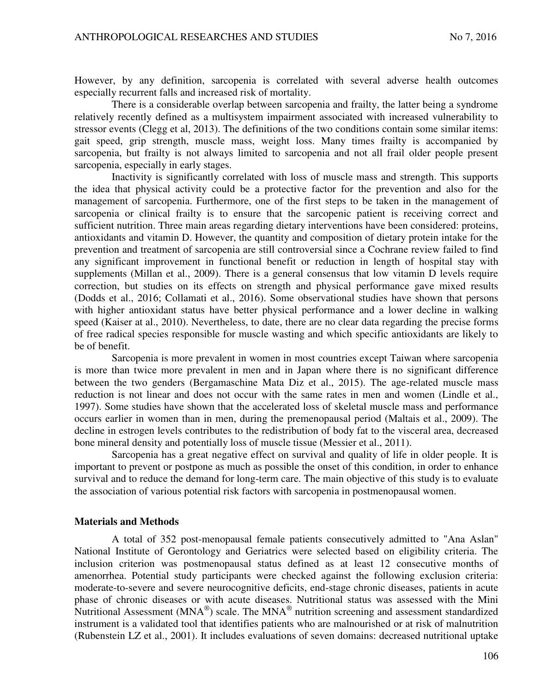However, by any definition, sarcopenia is correlated with several adverse health outcomes especially recurrent falls and increased risk of mortality.

There is a considerable overlap between sarcopenia and frailty, the latter being a syndrome relatively recently defined as a multisystem impairment associated with increased vulnerability to stressor events (Clegg et al, 2013). The definitions of the two conditions contain some similar items: gait speed, grip strength, muscle mass, weight loss. Many times frailty is accompanied by sarcopenia, but frailty is not always limited to sarcopenia and not all frail older people present sarcopenia, especially in early stages.

Inactivity is significantly correlated with loss of muscle mass and strength. This supports the idea that physical activity could be a protective factor for the prevention and also for the management of sarcopenia. Furthermore, one of the first steps to be taken in the management of sarcopenia or clinical frailty is to ensure that the sarcopenic patient is receiving correct and sufficient nutrition. Three main areas regarding dietary interventions have been considered: proteins, antioxidants and vitamin D. However, the quantity and composition of dietary protein intake for the prevention and treatment of sarcopenia are still controversial since a Cochrane review failed to find any significant improvement in functional benefit or reduction in length of hospital stay with supplements (Millan et al., 2009). There is a general consensus that low vitamin D levels require correction, but studies on its effects on strength and physical performance gave mixed results (Dodds et al., 2016; Collamati et al., 2016). Some observational studies have shown that persons with higher antioxidant status have better physical performance and a lower decline in walking speed (Kaiser at al., 2010). Nevertheless, to date, there are no clear data regarding the precise forms of free radical species responsible for muscle wasting and which specific antioxidants are likely to be of benefit.

Sarcopenia is more prevalent in women in most countries except Taiwan where sarcopenia is more than twice more prevalent in men and in Japan where there is no significant difference between the two genders (Bergamaschine Mata Diz et al., 2015). The age-related muscle mass reduction is not linear and does not occur with the same rates in men and women (Lindle et al., 1997). Some studies have shown that the accelerated loss of skeletal muscle mass and performance occurs earlier in women than in men, during the premenopausal period (Maltais et al., 2009). The decline in estrogen levels contributes to the redistribution of body fat to the visceral area, decreased bone mineral density and potentially loss of muscle tissue (Messier et al., 2011).

Sarcopenia has a great negative effect on survival and quality of life in older people. It is important to prevent or postpone as much as possible the onset of this condition, in order to enhance survival and to reduce the demand for long-term care. The main objective of this study is to evaluate the association of various potential risk factors with sarcopenia in postmenopausal women.

#### **Materials and Methods**

A total of 352 post-menopausal female patients consecutively admitted to "Ana Aslan" National Institute of Gerontology and Geriatrics were selected based on eligibility criteria. The inclusion criterion was postmenopausal status defined as at least 12 consecutive months of amenorrhea. Potential study participants were checked against the following exclusion criteria: moderate-to-severe and severe neurocognitive deficits, end-stage chronic diseases, patients in acute phase of chronic diseases or with acute diseases. Nutritional status was assessed with the Mini Nutritional Assessment ( $MNA^{\circledast}$ ) scale. The  $MNA^{\circledast}$  nutrition screening and assessment standardized instrument is a validated tool that identifies patients who are malnourished or at risk of malnutrition (Rubenstein LZ et al., 2001). It includes evaluations of seven domains: decreased nutritional uptake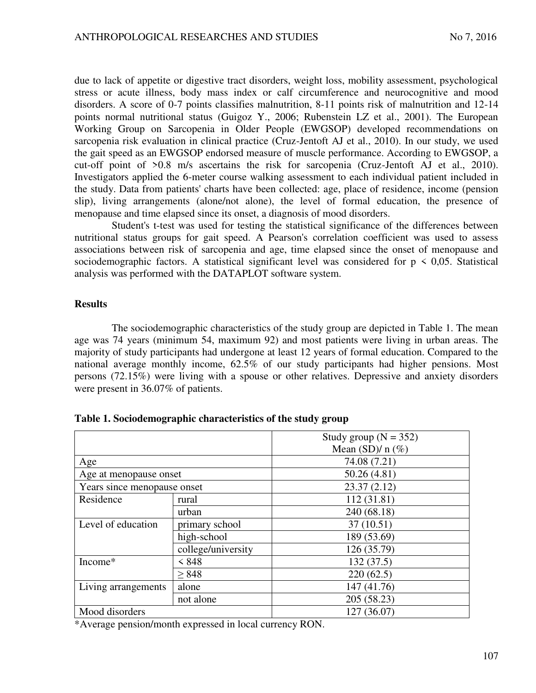due to lack of appetite or digestive tract disorders, weight loss, mobility assessment, psychological stress or acute illness, body mass index or calf circumference and neurocognitive and mood disorders. A score of 0-7 points classifies malnutrition, 8-11 points risk of malnutrition and 12-14 points normal nutritional status (Guigoz Y., 2006; Rubenstein LZ et al., 2001). The European Working Group on Sarcopenia in Older People (EWGSOP) developed recommendations on sarcopenia risk evaluation in clinical practice (Cruz-Jentoft AJ et al., 2010). In our study, we used the gait speed as an EWGSOP endorsed measure of muscle performance. According to EWGSOP, a cut-off point of >0.8 m/s ascertains the risk for sarcopenia (Cruz-Jentoft AJ et al., 2010). Investigators applied the 6-meter course walking assessment to each individual patient included in the study. Data from patients' charts have been collected: age, place of residence, income (pension slip), living arrangements (alone/not alone), the level of formal education, the presence of menopause and time elapsed since its onset, a diagnosis of mood disorders.

Student's t-test was used for testing the statistical significance of the differences between nutritional status groups for gait speed. A Pearson's correlation coefficient was used to assess associations between risk of sarcopenia and age, time elapsed since the onset of menopause and sociodemographic factors. A statistical significant level was considered for  $p \le 0.05$ . Statistical analysis was performed with the DATAPLOT software system.

# **Results**

The sociodemographic characteristics of the study group are depicted in Table 1. The mean age was 74 years (minimum 54, maximum 92) and most patients were living in urban areas. The majority of study participants had undergone at least 12 years of formal education. Compared to the national average monthly income, 62.5% of our study participants had higher pensions. Most persons (72.15%) were living with a spouse or other relatives. Depressive and anxiety disorders were present in 36.07% of patients.

|                             |                    | Study group ( $N = 352$ ) |  |
|-----------------------------|--------------------|---------------------------|--|
|                             |                    | Mean $(SD)/n$ (%)         |  |
| Age                         |                    | 74.08 (7.21)              |  |
| Age at menopause onset      |                    | 50.26(4.81)               |  |
| Years since menopause onset |                    | 23.37(2.12)               |  |
| Residence                   | rural              | 112 (31.81)               |  |
|                             | urban              | 240 (68.18)               |  |
| Level of education          | primary school     | 37(10.51)                 |  |
|                             | high-school        | 189 (53.69)               |  |
|                             | college/university | 126 (35.79)               |  |
| Income*                     | < 848              | 132(37.5)                 |  |
|                             | $\geq 848$         | 220(62.5)                 |  |
| Living arrangements         | alone              | 147 (41.76)               |  |
|                             | not alone          | 205 (58.23)               |  |
| Mood disorders              |                    | 127 (36.07)               |  |

**Table 1. Sociodemographic characteristics of the study group**

\*Average pension/month expressed in local currency RON.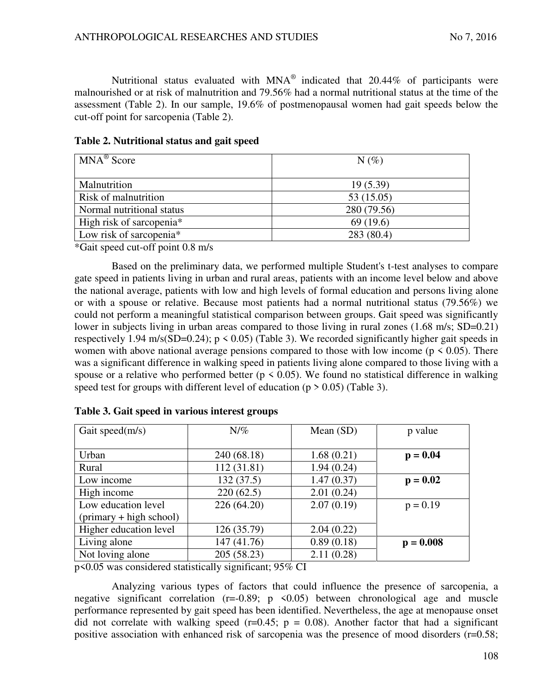Nutritional status evaluated with MNA® indicated that 20.44% of participants were malnourished or at risk of malnutrition and 79.56% had a normal nutritional status at the time of the assessment (Table 2). In our sample, 19.6% of postmenopausal women had gait speeds below the cut-off point for sarcopenia (Table 2).

| $MNA^{\circledR}$ Score              | $N(\%)$     |  |
|--------------------------------------|-------------|--|
|                                      |             |  |
| Malnutrition                         | 19(5.39)    |  |
| Risk of malnutrition                 | 53 (15.05)  |  |
| Normal nutritional status            | 280 (79.56) |  |
| High risk of sarcopenia <sup>*</sup> | 69(19.6)    |  |
| Low risk of sarcopenia*              | 283 (80.4)  |  |

\*Gait speed cut-off point 0.8 m/s

Based on the preliminary data, we performed multiple Student's t-test analyses to compare gate speed in patients living in urban and rural areas, patients with an income level below and above the national average, patients with low and high levels of formal education and persons living alone or with a spouse or relative. Because most patients had a normal nutritional status (79.56%) we could not perform a meaningful statistical comparison between groups. Gait speed was significantly lower in subjects living in urban areas compared to those living in rural zones (1.68 m/s; SD=0.21) respectively 1.94 m/s(SD=0.24);  $p \le 0.05$  (Table 3). We recorded significantly higher gait speeds in women with above national average pensions compared to those with low income ( $p \le 0.05$ ). There was a significant difference in walking speed in patients living alone compared to those living with a spouse or a relative who performed better ( $p \le 0.05$ ). We found no statistical difference in walking speed test for groups with different level of education ( $p > 0.05$ ) (Table 3).

| Gait speed(m/s)           | $N/\%$      | Mean $(SD)$ | p value     |
|---------------------------|-------------|-------------|-------------|
|                           |             |             |             |
| Urban                     | 240 (68.18) | 1.68(0.21)  | $p = 0.04$  |
| Rural                     | 112 (31.81) | 1.94(0.24)  |             |
| Low income                | 132(37.5)   | 1.47(0.37)  | $p = 0.02$  |
| High income               | 220(62.5)   | 2.01(0.24)  |             |
| Low education level       | 226 (64.20) | 2.07(0.19)  | $p = 0.19$  |
| $(primary + high school)$ |             |             |             |
| Higher education level    | 126 (35.79) | 2.04(0.22)  |             |
| Living alone              | 147 (41.76) | 0.89(0.18)  | $p = 0.008$ |
| Not loving alone          | 205 (58.23) | 2.11(0.28)  |             |

| Table 3. Gait speed in various interest groups |
|------------------------------------------------|
|------------------------------------------------|

p<0.05 was considered statistically significant; 95% CI

Analyzing various types of factors that could influence the presence of sarcopenia, a negative significant correlation  $(r=-0.89; p \le 0.05)$  between chronological age and muscle performance represented by gait speed has been identified. Nevertheless, the age at menopause onset did not correlate with walking speed ( $r=0.45$ ;  $p = 0.08$ ). Another factor that had a significant positive association with enhanced risk of sarcopenia was the presence of mood disorders (r=0.58;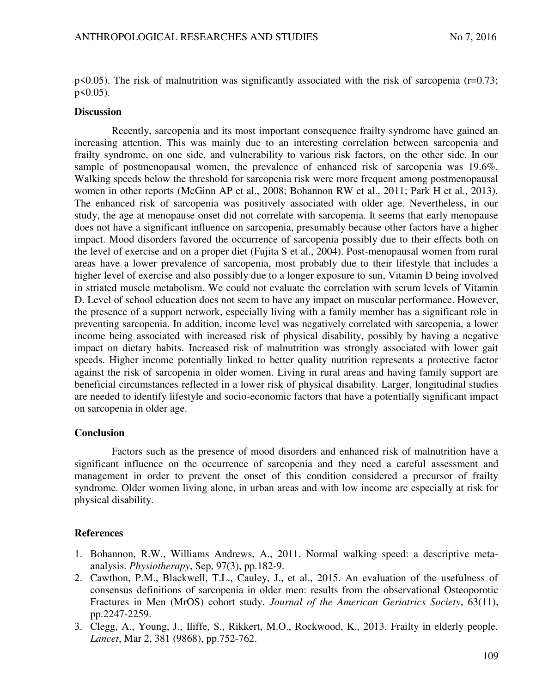$p(0.05)$ . The risk of malnutrition was significantly associated with the risk of sarcopenia (r=0.73;  $p \leq 0.05$ ).

### **Discussion**

Recently, sarcopenia and its most important consequence frailty syndrome have gained an increasing attention. This was mainly due to an interesting correlation between sarcopenia and frailty syndrome, on one side, and vulnerability to various risk factors, on the other side. In our sample of postmenopausal women, the prevalence of enhanced risk of sarcopenia was 19.6%. Walking speeds below the threshold for sarcopenia risk were more frequent among postmenopausal women in other reports (McGinn AP et al., 2008; Bohannon RW et al., 2011; Park H et al., 2013). The enhanced risk of sarcopenia was positively associated with older age. Nevertheless, in our study, the age at menopause onset did not correlate with sarcopenia. It seems that early menopause does not have a significant influence on sarcopenia, presumably because other factors have a higher impact. Mood disorders favored the occurrence of sarcopenia possibly due to their effects both on the level of exercise and on a proper diet (Fujita S et al., 2004). Post-menopausal women from rural areas have a lower prevalence of sarcopenia, most probably due to their lifestyle that includes a higher level of exercise and also possibly due to a longer exposure to sun, Vitamin D being involved in striated muscle metabolism. We could not evaluate the correlation with serum levels of Vitamin D. Level of school education does not seem to have any impact on muscular performance. However, the presence of a support network, especially living with a family member has a significant role in preventing sarcopenia. In addition, income level was negatively correlated with sarcopenia, a lower income being associated with increased risk of physical disability, possibly by having a negative impact on dietary habits. Increased risk of malnutrition was strongly associated with lower gait speeds. Higher income potentially linked to better quality nutrition represents a protective factor against the risk of sarcopenia in older women. Living in rural areas and having family support are beneficial circumstances reflected in a lower risk of physical disability. Larger, longitudinal studies are needed to identify lifestyle and socio-economic factors that have a potentially significant impact on sarcopenia in older age.

# **Conclusion**

Factors such as the presence of mood disorders and enhanced risk of malnutrition have a significant influence on the occurrence of sarcopenia and they need a careful assessment and management in order to prevent the onset of this condition considered a precursor of frailty syndrome. Older women living alone, in urban areas and with low income are especially at risk for physical disability.

# **References**

- 1. Bohannon, R.W., Williams Andrews, A., 2011. Normal walking speed: a descriptive metaanalysis. *Physiotherapy*, Sep, 97(3), pp.182-9.
- 2. Cawthon, P.M., Blackwell, T.L., Cauley, J., et al., 2015. An evaluation of the usefulness of consensus definitions of sarcopenia in older men: results from the observational Osteoporotic Fractures in Men (MrOS) cohort study. *Journal of the American Geriatrics Society*, 63(11), pp.2247-2259.
- 3. Clegg, A., Young, J., Iliffe, S., Rikkert, M.O., Rockwood, K., 2013. Frailty in elderly people. *Lancet*, Mar 2, 381 (9868), pp.752-762.